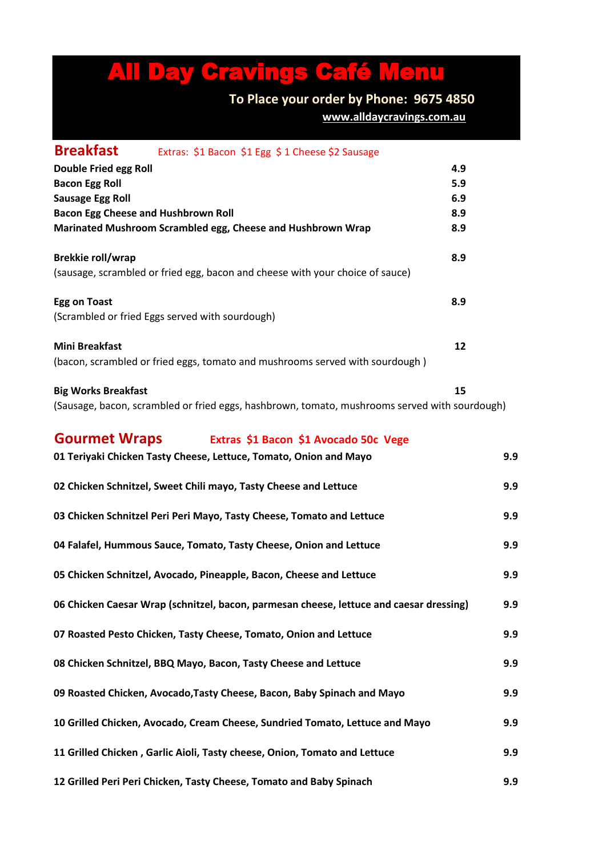# All Day Cravings Café Menu

#### **To Place your order by Phone: 9675 4850 [w](about:blank)ww.alldaycravings.com.au**

**Breakfast** Extras: \$1 Bacon \$1 Egg \$ 1 Cheese \$2 Sausage **Double Fried egg Roll 4.9 Bacon Egg Roll 5.9 Sausage Egg Roll 6.9 Bacon Egg Cheese and Hushbrown Roll 8.9 Marinated Mushroom Scrambled egg, Cheese and Hushbrown Wrap 8.9 Brekkie roll/wrap 8.9** (sausage, scrambled or fried egg, bacon and cheese with your choice of sauce) **Egg on Toast 8.9** (Scrambled or fried Eggs served with sourdough) **Mini Breakfast 12** (bacon, scrambled or fried eggs, tomato and mushrooms served with sourdough ) **Big Works Breakfast 15** (Sausage, bacon, scrambled or fried eggs, hashbrown, tomato, mushrooms served with sourdough)

|                                                                  | <b>Gourmet Wraps</b> Extras \$1 Bacon \$1 Avocado 50c Vege                              |     |
|------------------------------------------------------------------|-----------------------------------------------------------------------------------------|-----|
|                                                                  | 01 Teriyaki Chicken Tasty Cheese, Lettuce, Tomato, Onion and Mayo                       | 9.9 |
| 02 Chicken Schnitzel, Sweet Chili mayo, Tasty Cheese and Lettuce |                                                                                         | 9.9 |
|                                                                  | 03 Chicken Schnitzel Peri Peri Mayo, Tasty Cheese, Tomato and Lettuce                   | 9.9 |
|                                                                  | 04 Falafel, Hummous Sauce, Tomato, Tasty Cheese, Onion and Lettuce                      | 9.9 |
|                                                                  | 05 Chicken Schnitzel, Avocado, Pineapple, Bacon, Cheese and Lettuce                     | 9.9 |
|                                                                  | 06 Chicken Caesar Wrap (schnitzel, bacon, parmesan cheese, lettuce and caesar dressing) | 9.9 |
|                                                                  | 07 Roasted Pesto Chicken, Tasty Cheese, Tomato, Onion and Lettuce                       | 9.9 |
|                                                                  | 08 Chicken Schnitzel, BBQ Mayo, Bacon, Tasty Cheese and Lettuce                         | 9.9 |
|                                                                  | 09 Roasted Chicken, Avocado, Tasty Cheese, Bacon, Baby Spinach and Mayo                 | 9.9 |
|                                                                  | 10 Grilled Chicken, Avocado, Cream Cheese, Sundried Tomato, Lettuce and Mayo            | 9.9 |
|                                                                  | 11 Grilled Chicken, Garlic Aioli, Tasty cheese, Onion, Tomato and Lettuce               | 9.9 |
|                                                                  | 12 Grilled Peri Peri Chicken, Tasty Cheese, Tomato and Baby Spinach                     | 9.9 |